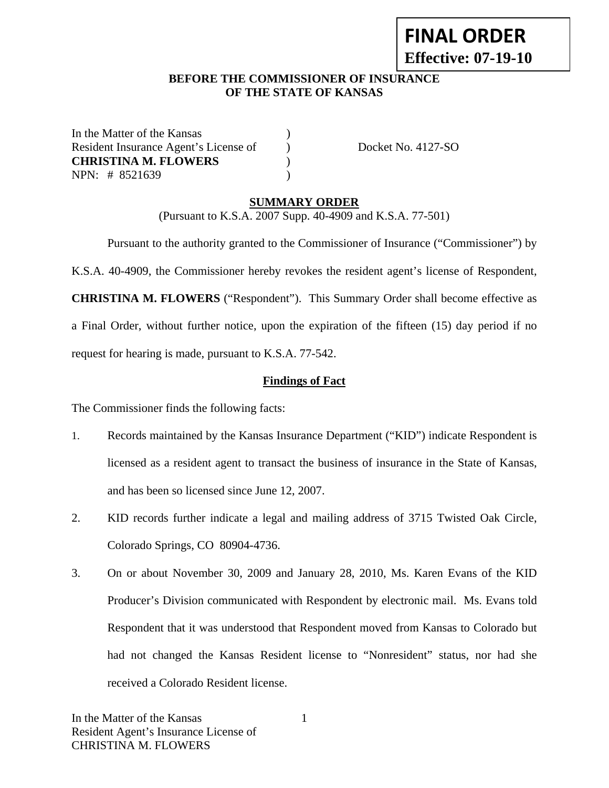# **FINAL ORDER Effective: 07-19-10**

# **BEFORE THE COMMISSIONER OF INSURANCE OF THE STATE OF KANSAS**

In the Matter of the Kansas (1) Resident Insurance Agent's License of Docket No. 4127-SO **CHRISTINA M. FLOWERS** ) NPN: # 8521639 )

# **SUMMARY ORDER**

(Pursuant to K.S.A. 2007 Supp. 40-4909 and K.S.A. 77-501)

 Pursuant to the authority granted to the Commissioner of Insurance ("Commissioner") by K.S.A. 40-4909, the Commissioner hereby revokes the resident agent's license of Respondent, **CHRISTINA M. FLOWERS** ("Respondent"). This Summary Order shall become effective as a Final Order, without further notice, upon the expiration of the fifteen (15) day period if no request for hearing is made, pursuant to K.S.A. 77-542.

# **Findings of Fact**

The Commissioner finds the following facts:

- 1. Records maintained by the Kansas Insurance Department ("KID") indicate Respondent is licensed as a resident agent to transact the business of insurance in the State of Kansas, and has been so licensed since June 12, 2007.
- 2. KID records further indicate a legal and mailing address of 3715 Twisted Oak Circle, Colorado Springs, CO 80904-4736.
- 3. On or about November 30, 2009 and January 28, 2010, Ms. Karen Evans of the KID Producer's Division communicated with Respondent by electronic mail. Ms. Evans told Respondent that it was understood that Respondent moved from Kansas to Colorado but had not changed the Kansas Resident license to "Nonresident" status, nor had she received a Colorado Resident license.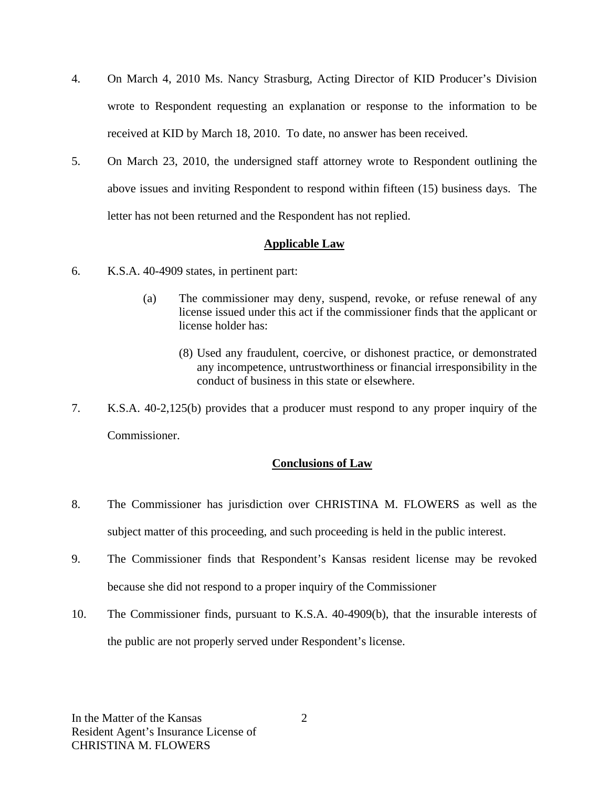- 4. On March 4, 2010 Ms. Nancy Strasburg, Acting Director of KID Producer's Division wrote to Respondent requesting an explanation or response to the information to be received at KID by March 18, 2010. To date, no answer has been received.
- 5. On March 23, 2010, the undersigned staff attorney wrote to Respondent outlining the above issues and inviting Respondent to respond within fifteen (15) business days. The letter has not been returned and the Respondent has not replied.

# **Applicable Law**

- 6. K.S.A. 40-4909 states, in pertinent part:
	- (a) The commissioner may deny, suspend, revoke, or refuse renewal of any license issued under this act if the commissioner finds that the applicant or license holder has:
		- (8) Used any fraudulent, coercive, or dishonest practice, or demonstrated any incompetence, untrustworthiness or financial irresponsibility in the conduct of business in this state or elsewhere.
- 7. K.S.A. 40-2,125(b) provides that a producer must respond to any proper inquiry of the Commissioner.

# **Conclusions of Law**

- 8. The Commissioner has jurisdiction over CHRISTINA M. FLOWERS as well as the subject matter of this proceeding, and such proceeding is held in the public interest.
- 9. The Commissioner finds that Respondent's Kansas resident license may be revoked because she did not respond to a proper inquiry of the Commissioner
- 10. The Commissioner finds, pursuant to K.S.A. 40-4909(b), that the insurable interests of the public are not properly served under Respondent's license.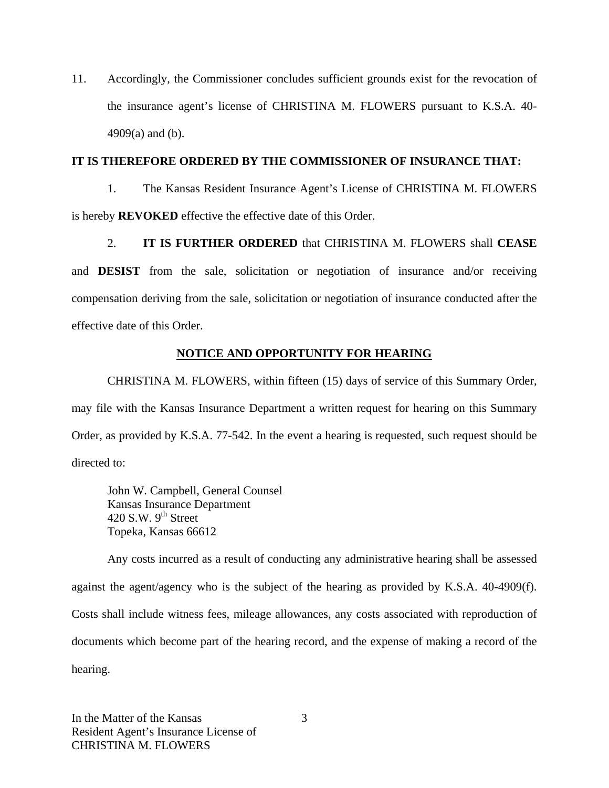11. Accordingly, the Commissioner concludes sufficient grounds exist for the revocation of the insurance agent's license of CHRISTINA M. FLOWERS pursuant to K.S.A. 40- 4909(a) and (b).

#### **IT IS THEREFORE ORDERED BY THE COMMISSIONER OF INSURANCE THAT:**

1. The Kansas Resident Insurance Agent's License of CHRISTINA M. FLOWERS is hereby **REVOKED** effective the effective date of this Order.

2. **IT IS FURTHER ORDERED** that CHRISTINA M. FLOWERS shall **CEASE**  and **DESIST** from the sale, solicitation or negotiation of insurance and/or receiving compensation deriving from the sale, solicitation or negotiation of insurance conducted after the effective date of this Order.

# **NOTICE AND OPPORTUNITY FOR HEARING**

CHRISTINA M. FLOWERS, within fifteen (15) days of service of this Summary Order, may file with the Kansas Insurance Department a written request for hearing on this Summary Order, as provided by K.S.A. 77-542. In the event a hearing is requested, such request should be directed to:

John W. Campbell, General Counsel Kansas Insurance Department 420 S.W.  $9^{th}$  Street Topeka, Kansas 66612

Any costs incurred as a result of conducting any administrative hearing shall be assessed against the agent/agency who is the subject of the hearing as provided by K.S.A. 40-4909(f). Costs shall include witness fees, mileage allowances, any costs associated with reproduction of documents which become part of the hearing record, and the expense of making a record of the hearing.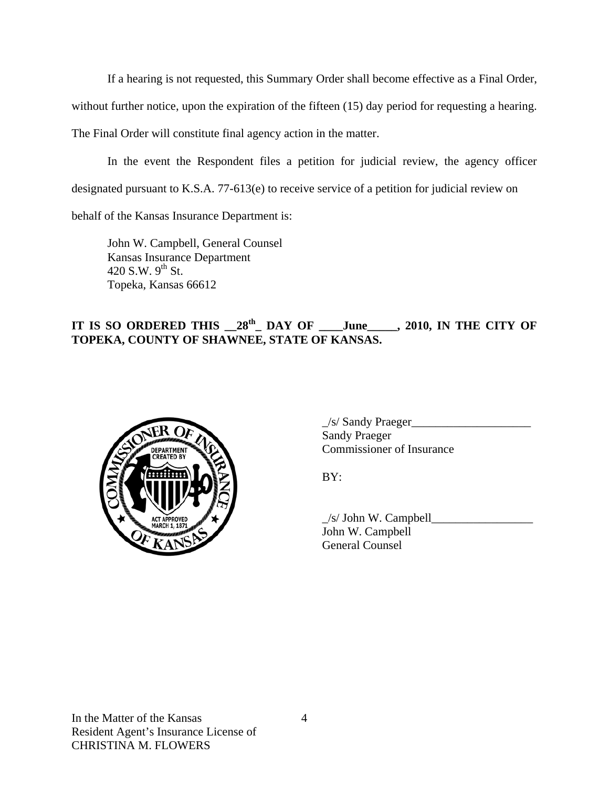If a hearing is not requested, this Summary Order shall become effective as a Final Order,

without further notice, upon the expiration of the fifteen (15) day period for requesting a hearing.

The Final Order will constitute final agency action in the matter.

In the event the Respondent files a petition for judicial review, the agency officer designated pursuant to K.S.A. 77-613(e) to receive service of a petition for judicial review on

behalf of the Kansas Insurance Department is:

John W. Campbell, General Counsel Kansas Insurance Department 420 S.W.  $9^{th}$  St. Topeka, Kansas 66612

# IT IS SO ORDERED THIS  $28^{th}$  DAY OF \_\_\_June\_\_\_\_, 2010, IN THE CITY OF **TOPEKA, COUNTY OF SHAWNEE, STATE OF KANSAS.**



 $\frac{1}{s}$  Sandy Praeger Sandy Praeger EPARTMENT VOLTER COMMISSIONER OF Insurance

 $\angle$ s/ John W. Campbell John W. Campbell General Counsel